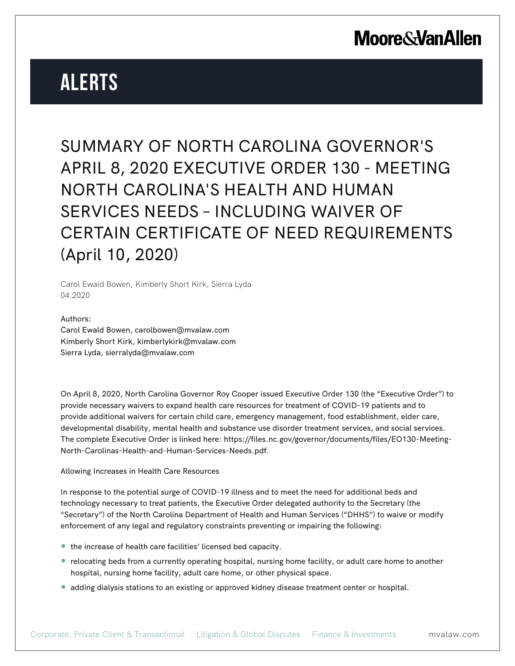# **Alerts**

SUMMARY OF NORTH CAROLINA GOVERNOR'S APRIL 8, 2020 EXECUTIVE ORDER 130 - MEETING NORTH CAROLINA'S HEALTH AND HUMAN SERVICES NEEDS – INCLUDING WAIVER OF CERTAIN CERTIFICATE OF NEED REQUIREMENTS (April 10, 2020)

Carol Ewald Bowen, Kimberly Short Kirk, Sierra Lyda 04.2020

Authors: Carol Ewald Bowen, carolbowen@mvalaw.com Kimberly Short Kirk, kimberlykirk@mvalaw.com Sierra Lyda, sierralyda@mvalaw.com

On April 8, 2020, North Carolina Governor Roy Cooper issued Executive Order 130 (the "Executive Order") to provide necessary waivers to expand health care resources for treatment of COVID-19 patients and to provide additional waivers for certain child care, emergency management, food establishment, elder care, developmental disability, mental health and substance use disorder treatment services, and social services. The complete Executive Order is linked here: https://files.nc.gov/governor/documents/files/EO130-Meeting-North-Carolinas-Health-and-Human-Services-Needs.pdf.

Allowing Increases in Health Care Resources

In response to the potential surge of COVID-19 illness and to meet the need for additional beds and technology necessary to treat patients, the Executive Order delegated authority to the Secretary (the "Secretary") of the North Carolina Department of Health and Human Services ("DHHS") to waive or modify enforcement of any legal and regulatory constraints preventing or impairing the following:

- the increase of health care facilities' licensed bed capacity.
- relocating beds from a currently operating hospital, nursing home facility, or adult care home to another hospital, nursing home facility, adult care home, or other physical space.
- adding dialysis stations to an existing or approved kidney disease treatment center or hospital.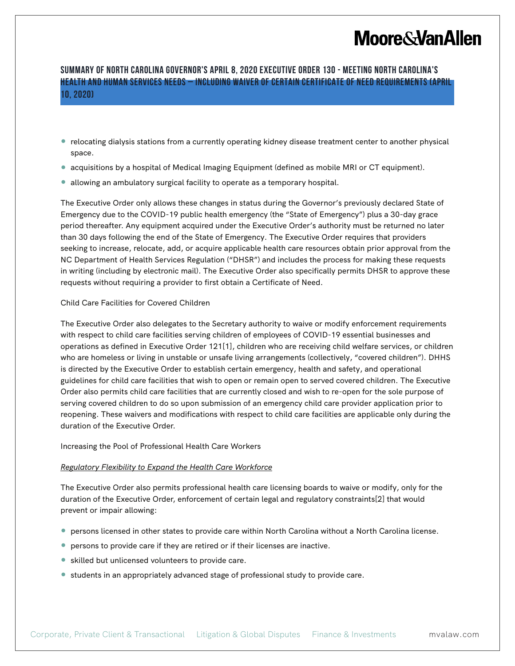## **Moore & Van Allen**

## **SUMMARY OF NORTH CAROLINA GOVERNOR'S APRIL 8, 2020 EXECUTIVE ORDER 130 - MEETING NORTH CAROLINA'S HEALTH AND HUMAN SERVICES NEEDS – INCLUDING WAIVER OF CERTAIN CERTIFICATE OF NEED REQUIREMENTS (April 10, 2020)**

- relocating dialysis stations from a currently operating kidney disease treatment center to another physical space.
- acquisitions by a hospital of Medical Imaging Equipment (defined as mobile MRI or CT equipment).
- allowing an ambulatory surgical facility to operate as a temporary hospital.

The Executive Order only allows these changes in status during the Governor's previously declared State of Emergency due to the COVID-19 public health emergency (the "State of Emergency") plus a 30-day grace period thereafter. Any equipment acquired under the Executive Order's authority must be returned no later than 30 days following the end of the State of Emergency. The Executive Order requires that providers seeking to increase, relocate, add, or acquire applicable health care resources obtain prior approval from the NC Department of Health Services Regulation ("DHSR") and includes the process for making these requests in writing (including by electronic mail). The Executive Order also specifically permits DHSR to approve these requests without requiring a provider to first obtain a Certificate of Need.

### Child Care Facilities for Covered Children

The Executive Order also delegates to the Secretary authority to waive or modify enforcement requirements with respect to child care facilities serving children of employees of COVID-19 essential businesses and operations as defined in Executive Order 121[1], children who are receiving child welfare services, or children who are homeless or living in unstable or unsafe living arrangements (collectively, "covered children"). DHHS is directed by the Executive Order to establish certain emergency, health and safety, and operational guidelines for child care facilities that wish to open or remain open to served covered children. The Executive Order also permits child care facilities that are currently closed and wish to re-open for the sole purpose of serving covered children to do so upon submission of an emergency child care provider application prior to reopening. These waivers and modifications with respect to child care facilities are applicable only during the duration of the Executive Order.

Increasing the Pool of Professional Health Care Workers

### *Regulatory Flexibility to Expand the Health Care Workforce*

The Executive Order also permits professional health care licensing boards to waive or modify, only for the duration of the Executive Order, enforcement of certain legal and regulatory constraints[2] that would prevent or impair allowing:

- persons licensed in other states to provide care within North Carolina without a North Carolina license.
- persons to provide care if they are retired or if their licenses are inactive.
- skilled but unlicensed volunteers to provide care.
- students in an appropriately advanced stage of professional study to provide care.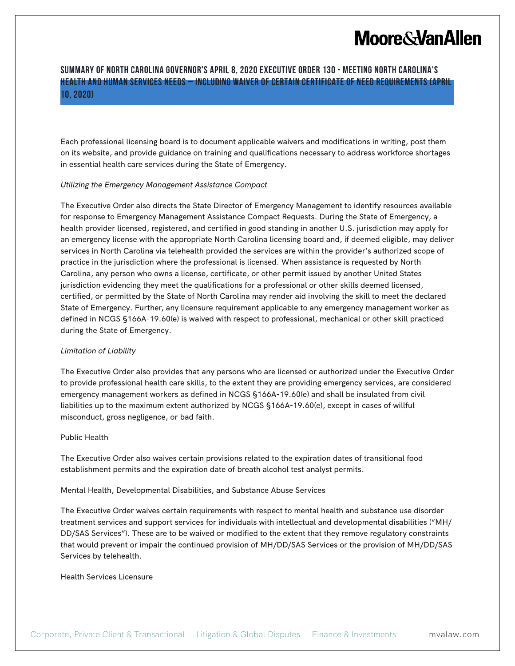## **Moore & Van Allen**

## **SUMMARY OF NORTH CAROLINA GOVERNOR'S APRIL 8, 2020 EXECUTIVE ORDER 130 - MEETING NORTH CAROLINA'S HEALTH AND HUMAN SERVICES NEEDS – INCLUDING WAIVER OF CERTAIN CERTIFICATE OF NEED REQUIREMENTS (April 10, 2020)**

Each professional licensing board is to document applicable waivers and modifications in writing, post them on its website, and provide guidance on training and qualifications necessary to address workforce shortages in essential health care services during the State of Emergency.

### *Utilizing the Emergency Management Assistance Compact*

The Executive Order also directs the State Director of Emergency Management to identify resources available for response to Emergency Management Assistance Compact Requests. During the State of Emergency, a health provider licensed, registered, and certified in good standing in another U.S. jurisdiction may apply for an emergency license with the appropriate North Carolina licensing board and, if deemed eligible, may deliver services in North Carolina via telehealth provided the services are within the provider's authorized scope of practice in the jurisdiction where the professional is licensed. When assistance is requested by North Carolina, any person who owns a license, certificate, or other permit issued by another United States jurisdiction evidencing they meet the qualifications for a professional or other skills deemed licensed, certified, or permitted by the State of North Carolina may render aid involving the skill to meet the declared State of Emergency. Further, any licensure requirement applicable to any emergency management worker as defined in NCGS §166A-19.60(e) is waived with respect to professional, mechanical or other skill practiced during the State of Emergency.

#### *Limitation of Liability*

The Executive Order also provides that any persons who are licensed or authorized under the Executive Order to provide professional health care skills, to the extent they are providing emergency services, are considered emergency management workers as defined in NCGS §166A-19.60(e) and shall be insulated from civil liabilities up to the maximum extent authorized by NCGS §166A-19.60(e), except in cases of willful misconduct, gross negligence, or bad faith.

#### Public Health

The Executive Order also waives certain provisions related to the expiration dates of transitional food establishment permits and the expiration date of breath alcohol test analyst permits.

Mental Health, Developmental Disabilities, and Substance Abuse Services

The Executive Order waives certain requirements with respect to mental health and substance use disorder treatment services and support services for individuals with intellectual and developmental disabilities ("MH/ DD/SAS Services"). These are to be waived or modified to the extent that they remove regulatory constraints that would prevent or impair the continued provision of MH/DD/SAS Services or the provision of MH/DD/SAS Services by telehealth.

Health Services Licensure